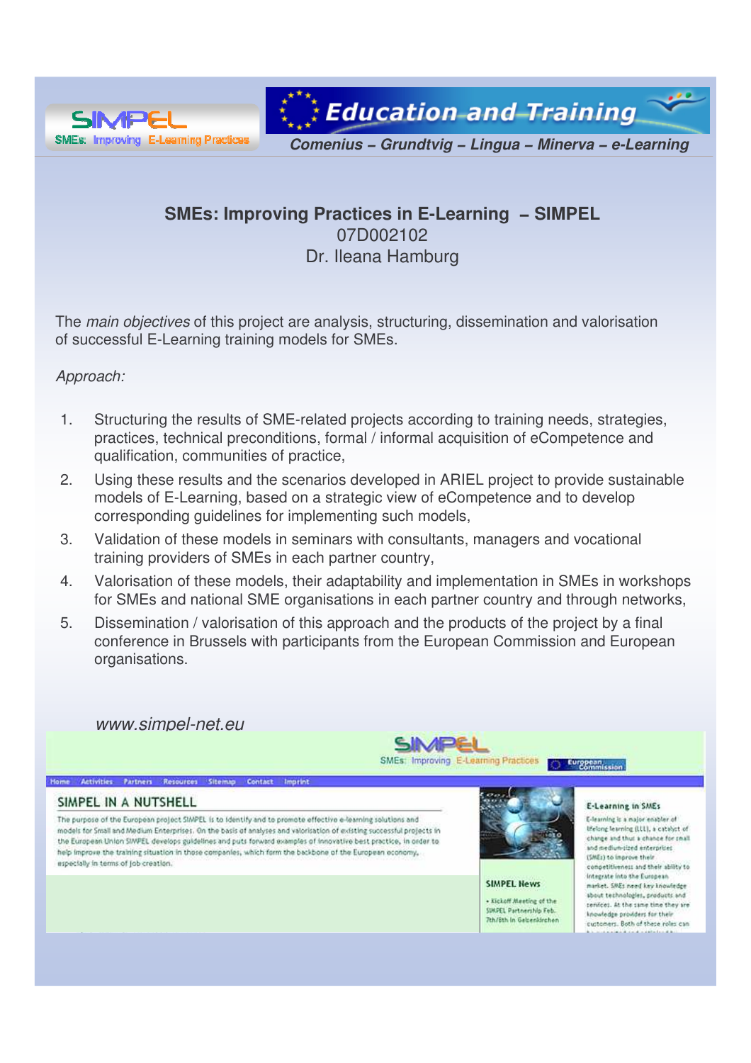

**Education and Training** 

*Comenius − Grundtvig − Lingua − Minerva − e-Learning*

# **SMEs: Improving Practices in E-Learning − SIMPEL** 07D002102 Dr. Ileana Hamburg

The *main objectives* of this project are analysis, structuring, dissemination and valorisation of successful E-Learning training models for SMEs.

## *Approach:*

- 1. Structuring the results of SME-related projects according to training needs, strategies, practices, technical preconditions, formal / informal acquisition of eCompetence and qualification, communities of practice,
- 2. Using these results and the scenarios developed in ARIEL project to provide sustainable models of E-Learning, based on a strategic view of eCompetence and to develop corresponding guidelines for implementing such models,
- 3. Validation of these models in seminars with consultants, managers and vocational training providers of SMEs in each partner country,
- 4. Valorisation of these models, their adaptability and implementation in SMEs in workshops for SMEs and national SME organisations in each partner country and through networks,
- 5. Dissemination / valorisation of this approach and the products of the project by a final conference in Brussels with participants from the European Commission and European organisations.

*www.simpel-net.eu*

Home Activities Partners Resources Sitemap Contact Imprint



### SIMPEL IN A NUTSHELL

The purpose of the European project SIMPEL is to identify and to promote effective e-learning solutions and models for Small and Medium Enterprises. On the basis of analyses and valorisation of existing successful projects in the European Union SIMPEL develops puidelines and puts forward examples of innovative best practice, in order to help improve the training situation in those companies, which form the backbone of the European economy, especially in terms of job creation.



**SIMPEL News** . Kickoff Meeting of the SUKPEL Partnership Feb. **Tth/Eth In Gelsenkirchen** 

#### E-Learning in SMEs

E-learning is a major enabler of lifetong learning (LLL), a catalyst of change and thus a chance for small. and medium-sized enterprises (SME:) to improve their consetitiveness and their ability to integrate into the European market. SMEs need key knowledge sbout technologies, products and centces. At the same time they are knowledge providers for their customers. Both of these roles can